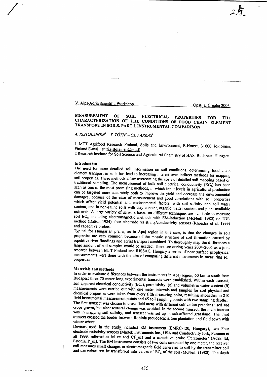V. Alps-Adria Scientific Workshop

Opatija, Croatia 2006.

 $25.$ 

# MEASUREMENT OF SOIL ELECTRICAL PROPERTIES FOR THE<br>CHARACTERIZATION OF THE CONDITIONS OF FOOD CHAIN ELEMENT<br>TRANSPORT IN SOILS. PART I. INSTRUMENTAL COMPARISON

# A. RISTOLAINEN' - T. TÓTH<sup>2</sup> - Cs. FARKAS<sup>2</sup>

l MTT Agrifood Research Finland, Soils and Environment, E-House, 31600 Jokioinen, Finland E-mail: antti.ristolainen@mu.fi

2 Research Institute for Soil Science and Agricultural Chemistry of HAS, Budapest, Hungary

Introduction<br>The need for more detailed soil information on soil conditions, determining food chain element transport in soils has lead to increasing interest over indirect methods for mapping<br>soil properties. These methods allow overcoming the costs of detailed soil mapping based on<br>traditional sampling. The measuremen seen as one of the most promising methods, in which input levels in agricultural production can be targeted more accurately both to improve the yield and decrease the environmental damages; because of the ease of measurement and good correlations with soil properties<br>which affect yield potential and environmental factors, with soil salinity and soil water<br>content, and in non-saline soils with clay co

properties are very common because of the mosaic structure of soil formation caused by repetitive river floodings and aerial transport combined. To thoroughly map the differences a large amount of soil samples would be nee research between MTT Finland and RISSAC, Hungary a series of near surface geophysical measurements were done with the aim of comparing different instruments in measuring soil properties

ست د بابان

Materials and methods<br>In order to evaluate differences between the instruments in Apaj region, 60 km to south from Budapest three 70 meter long experimental transects were established. Within each transect, soil apparent electrical conductivity (EC<sub>a</sub>), permittivity ( $\varepsilon$ ) and volumetric water content ( $\theta$ ) measurements were carried out with one meter intervals and samples for soil physical and chemical properties were taken from every fifth measuring point, resulting altogether in 210

field instrumental measurement points and 45 soil sampling points with two sampling depths.<br>The first transect was chosen to cross field areas with different cultivation practices used and crops grown, but clear textural c was in mapping soil salinity, and transect was set up in salt-affected grassland. The third transect crossed the border between Robinia pseudoacacia tree plantation and field sown with winter wheat.

Devices used in the study included EM instrument (EMRC-120, Hungary), two Four<br>electrode resistivity sensors (Martek Instruments Inc., USA and Conductivity fork, Puranen et<br>all 1999, referred as M\_ec and CF\_ec) and a capac coil measures small changes in electromagnetic field generated to soil by the transmitter coil and the values can be transferred into values of  $EC<sub>a</sub>$  of the soil (McNeill (1980). The depth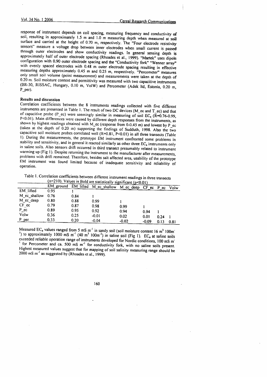response of instrument depends on coil spacing, measuring frequency and conductivity of soil, resulting in approximately 1.5 m and 1.0 m measuring depth when measured at soil surface and carried at the height of 0.70 m, re through outer electrodes and show conductivity readings. In general sensing depth is approximately half of outer electrode spacing (Rhoades et al., 1999). "Martek" uses dipole configuration with 0.90 outer electrode spacin approximately half of outer electrode spacing (Khoades et al., 1999). "Martek" uses dipole<br>configuration with 0.90 outer electrode spacing and the "Conductivity fork" "Wenner array"<br>with evenly spaced electrodes with 0.48 measuring depths approximately 0.45 m and 0.25 m, respectively. "Percometer" measures<br>only small soil volume (point measurement) and measurements were taken at the depth of<br>0.20 m. Soil moisture content and permittivity wa

Results and discussion<br>Correlation coefficients between the 8 instruments readings collected with five different instruments are presented in Table 1. The result of two DC devices (M\_ec and T\_ec) and that<br>of capacitive probe (P\_ec) were seemingly similar in measuring of soil EC<sub>a</sub> (R=0.76-0.99,<br>P<0.01). Main differences were caused capacitive soil moisture probes correlated well  $(R=0.81, P<0.01)$  in all three transects (Table<br>1). During the measurements, the prototype EM instrument confronted some problems in<br>stability and sensitivity, and in general

Table l. Correlation coefficients between different instrument readings in three transects ., ( $n=210$ ). Values in Bold are statistically significant ( $p<0.01$ )

|              |      |      | EM ground EM lifted M ec shallow | M_ec_deep | $CF$ $ec$ | P ec | Volw |
|--------------|------|------|----------------------------------|-----------|-----------|------|------|
| EM lifted    | 0.95 |      |                                  |           |           |      |      |
| M_ec_shallow | 0.76 | 0.84 |                                  |           |           |      |      |
| M ec deep    | 0.80 | 0.88 | 0.99                             |           |           |      |      |
| $CF \nccc$   | 0.79 | 0.87 | 0.98                             | 0.99      |           |      |      |
| P ec         | 0.89 | 0.95 | 0.92                             | 0.94      | 0.94      |      |      |
| Volw         | 0.36 | 0.25 | $-0.01$                          | 0.02      | 0.01      | 0.24 |      |
| P per        | 0.33 | 0.20 | $-0.04$                          | $-0.02$   | $-0.09$   | 0.13 | 0.81 |

Measured EC<sub>a</sub> values ranged from 5 mS m<sup>-1</sup> in sandy soil (soil moisture content 16 m<sup>3</sup> 100m<sup>3</sup>) to approximately 1000 mS m<sup>-1</sup> (40 m<sup>3</sup> 100m<sup>-3</sup>) in saline soil (Fig 1). EC<sub>a</sub> at saline soils exceeded reliable operatio

160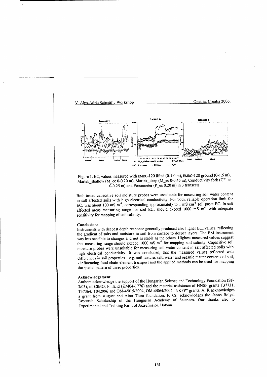

Figure 1.  $EC_a$  values measured with EMRC-120 lifted (0-1.0 m), EMRC-120 ground (0-1.5 m), Martek\_shallow (M\_ec 0-0.20 m), Martek\_deep (M\_ec 0-0.45 m), Conductivity fork (CF\_ec  $(0.25 \text{ m})$  and Percometer (P\_ec 0.20 m) in 3 transects

Both tested capacitive soil moisture probes were unsuitable for measuring soil water content in salt affected soils with high electrical conductivity. For both, reliable operation limit for  $EC_a$  was about 100 mS m<sup>-1</sup>, corresponding approximately to 1 mS cm<sup>-1</sup> soil paste EC. In salt affected areas measuring range for soil  $EC_a$  should exceed 1000 mS m<sup>-1</sup> with adequate sensitivity for mapping of soil salinity.

### Conclusions

Instruments with deepest depth response generally produced also higher EC<sub>a</sub> values, reflecting the gradient of salts and moisture in soil from surface to deeper layers. The EM instrument was less sensible to changes and not as stable as the others. Highest measured values suggest that measuring range should exceed 1000 mS m<sup>-1</sup> for mapping soil salinity. Capacitive soil moisture probes were unsuitable for measuring soil water content in salt affected soils with high elecirical conductivity. It was concluded, that the measured values reflected well differences in soil properties - e.g. soil texture, salt, water and organic matter contents of soil, - influencing food chain element transport and the applied methods can be used for mapping the spatial pattern of these properties.

## Acknowledgement

Authors acknowledge the support of the Hungarian Science and Technology Foundation (SF-3/03), of CIMO, Finland (KM04-1776) and the material assistance of HNSF grants T37731, T37364, T042996 and OM-4/015/2004, OM-4/064/2004 "NKFP" grants. A. R acknowledges a grant from August and Aino Tiura foundation. F. Cs. acknowledges the János Bolyai Research Scholarship of the Hungarian Academy of Sciences. Our thanks also to Experimental and Training Farm of Józsefmajor, Hatvan.